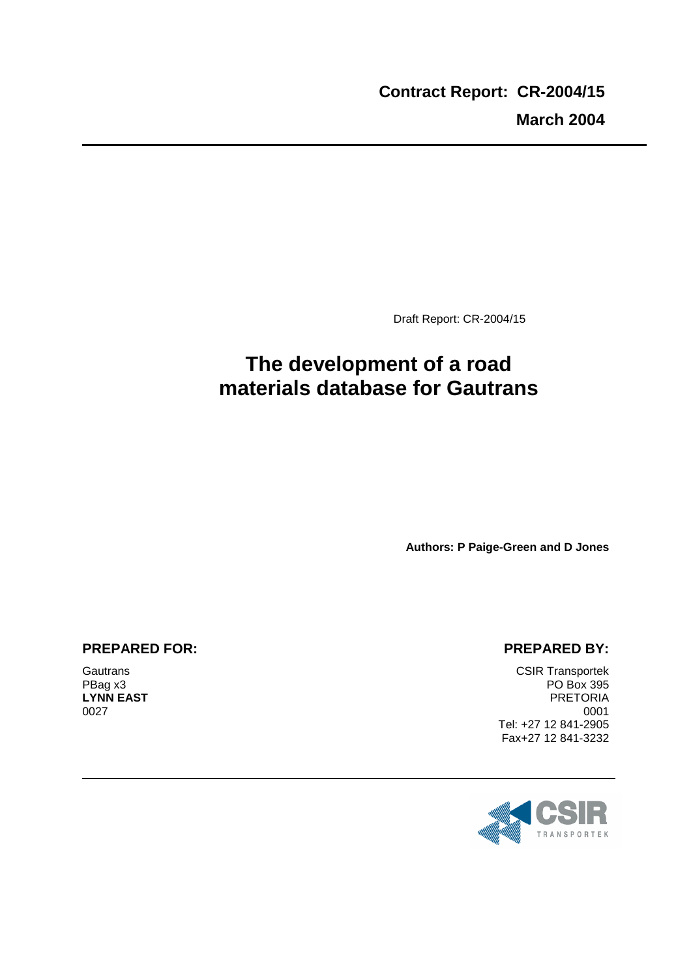Draft Report: CR-2004/15

# **The development of a road materials database for Gautrans**

**Authors: P Paige-Green and D Jones** 

#### **PREPARED FOR:**

**Gautrans** PBag x3 **LYNN EAST** 0027

#### **PREPARED BY:**

CSIR Transportek PO Box 395 PRETORIA 0001 Tel: +27 12 841-2905 Fax+27 12 841-3232

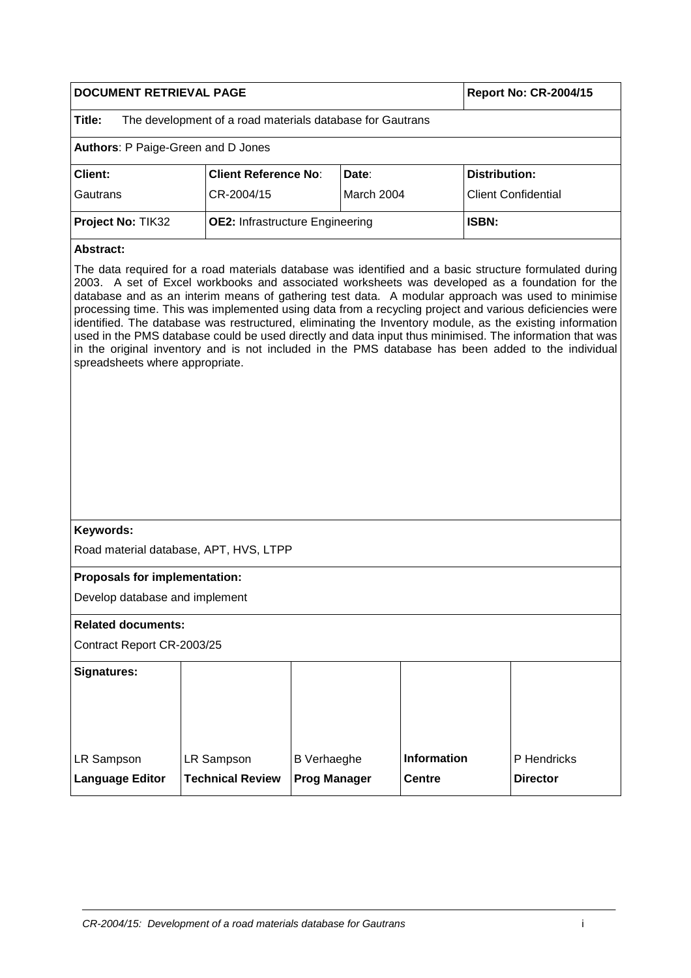| DOCUMENT RETRIEVAL PAGE                             |                                                           |                                                        |                                     | <b>Report No: CR-2004/15</b>                                                                                                                                                                                                                                                                                                                                                                                                                                                                                                             |
|-----------------------------------------------------|-----------------------------------------------------------|--------------------------------------------------------|-------------------------------------|------------------------------------------------------------------------------------------------------------------------------------------------------------------------------------------------------------------------------------------------------------------------------------------------------------------------------------------------------------------------------------------------------------------------------------------------------------------------------------------------------------------------------------------|
| Title:                                              | The development of a road materials database for Gautrans |                                                        |                                     |                                                                                                                                                                                                                                                                                                                                                                                                                                                                                                                                          |
| Authors: P Paige-Green and D Jones                  |                                                           |                                                        |                                     |                                                                                                                                                                                                                                                                                                                                                                                                                                                                                                                                          |
| <b>Client:</b>                                      | <b>Client Reference No:</b>                               | Date:                                                  |                                     | <b>Distribution:</b>                                                                                                                                                                                                                                                                                                                                                                                                                                                                                                                     |
| Gautrans                                            | CR-2004/15                                                | March 2004                                             |                                     | <b>Client Confidential</b>                                                                                                                                                                                                                                                                                                                                                                                                                                                                                                               |
| Project No: TIK32                                   |                                                           | <b>ISBN:</b><br><b>OE2: Infrastructure Engineering</b> |                                     |                                                                                                                                                                                                                                                                                                                                                                                                                                                                                                                                          |
| <b>Abstract:</b>                                    |                                                           |                                                        |                                     |                                                                                                                                                                                                                                                                                                                                                                                                                                                                                                                                          |
| spreadsheets where appropriate.                     |                                                           |                                                        |                                     | database and as an interim means of gathering test data. A modular approach was used to minimise<br>processing time. This was implemented using data from a recycling project and various deficiencies were<br>identified. The database was restructured, eliminating the Inventory module, as the existing information<br>used in the PMS database could be used directly and data input thus minimised. The information that was<br>in the original inventory and is not included in the PMS database has been added to the individual |
| Keywords:<br>Road material database, APT, HVS, LTPP |                                                           |                                                        |                                     |                                                                                                                                                                                                                                                                                                                                                                                                                                                                                                                                          |
|                                                     |                                                           |                                                        |                                     |                                                                                                                                                                                                                                                                                                                                                                                                                                                                                                                                          |
| Proposals for implementation:                       |                                                           |                                                        |                                     |                                                                                                                                                                                                                                                                                                                                                                                                                                                                                                                                          |
| Develop database and implement                      |                                                           |                                                        |                                     |                                                                                                                                                                                                                                                                                                                                                                                                                                                                                                                                          |
| <b>Related documents:</b>                           |                                                           |                                                        |                                     |                                                                                                                                                                                                                                                                                                                                                                                                                                                                                                                                          |
| Contract Report CR-2003/25                          |                                                           |                                                        |                                     |                                                                                                                                                                                                                                                                                                                                                                                                                                                                                                                                          |
| <b>Signatures:</b>                                  |                                                           |                                                        |                                     |                                                                                                                                                                                                                                                                                                                                                                                                                                                                                                                                          |
| LR Sampson<br><b>Language Editor</b>                | LR Sampson<br><b>Technical Review</b>                     | <b>B</b> Verhaeghe<br><b>Prog Manager</b>              | <b>Information</b><br><b>Centre</b> | P Hendricks<br><b>Director</b>                                                                                                                                                                                                                                                                                                                                                                                                                                                                                                           |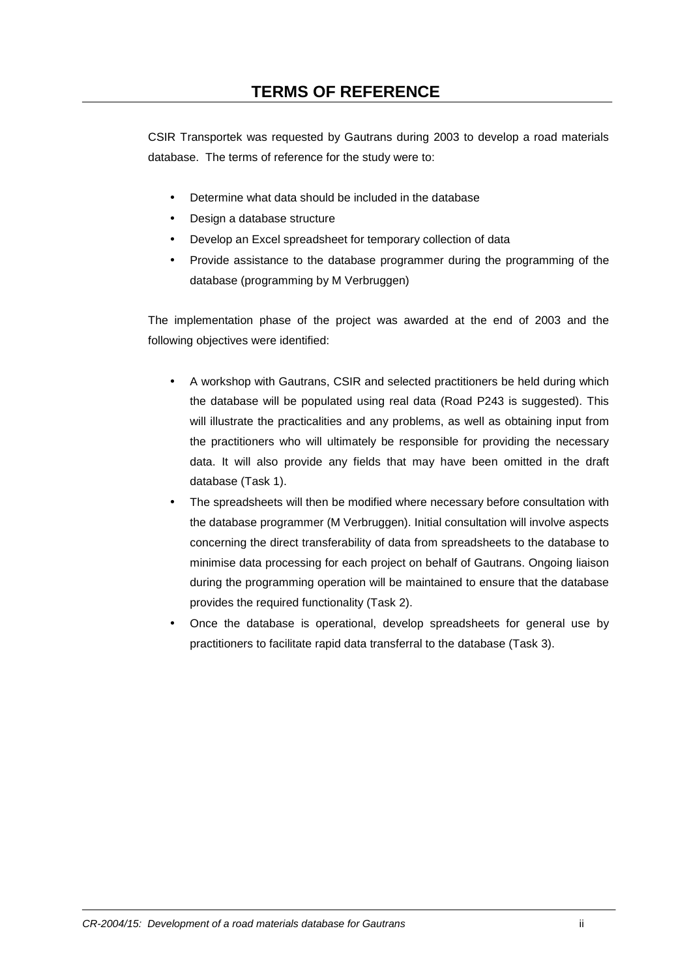CSIR Transportek was requested by Gautrans during 2003 to develop a road materials database. The terms of reference for the study were to:

- Determine what data should be included in the database
- Design a database structure
- Develop an Excel spreadsheet for temporary collection of data
- Provide assistance to the database programmer during the programming of the database (programming by M Verbruggen)

The implementation phase of the project was awarded at the end of 2003 and the following objectives were identified:

- A workshop with Gautrans, CSIR and selected practitioners be held during which the database will be populated using real data (Road P243 is suggested). This will illustrate the practicalities and any problems, as well as obtaining input from the practitioners who will ultimately be responsible for providing the necessary data. It will also provide any fields that may have been omitted in the draft database (Task 1).
- The spreadsheets will then be modified where necessary before consultation with the database programmer (M Verbruggen). Initial consultation will involve aspects concerning the direct transferability of data from spreadsheets to the database to minimise data processing for each project on behalf of Gautrans. Ongoing liaison during the programming operation will be maintained to ensure that the database provides the required functionality (Task 2).
- Once the database is operational, develop spreadsheets for general use by practitioners to facilitate rapid data transferral to the database (Task 3).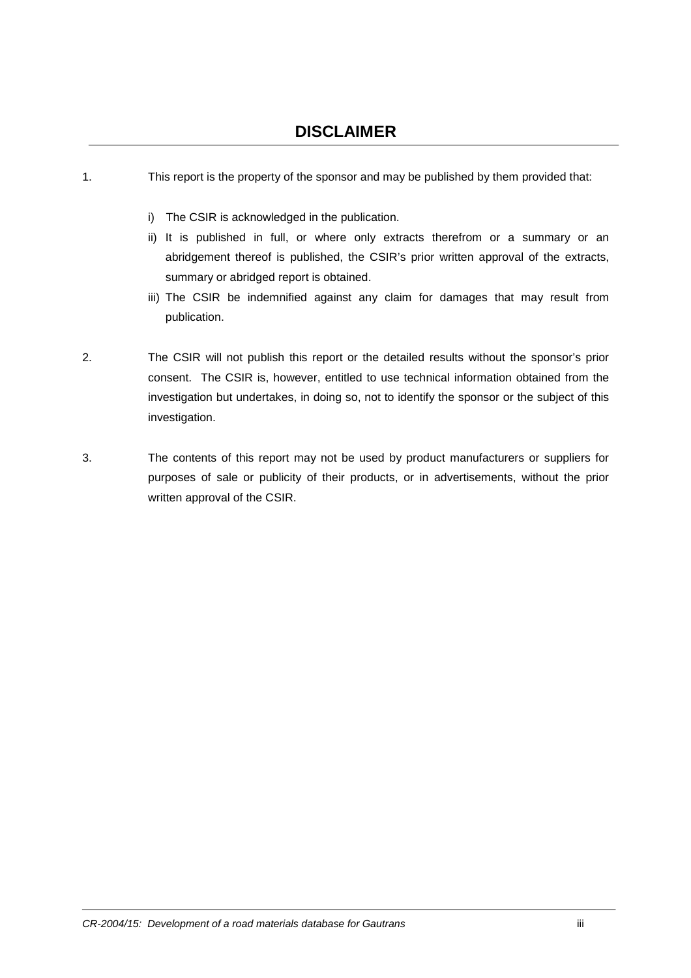- 1. This report is the property of the sponsor and may be published by them provided that:
	- i) The CSIR is acknowledged in the publication.
	- ii) It is published in full, or where only extracts therefrom or a summary or an abridgement thereof is published, the CSIR's prior written approval of the extracts, summary or abridged report is obtained.
	- iii) The CSIR be indemnified against any claim for damages that may result from publication.
- 2. The CSIR will not publish this report or the detailed results without the sponsor's prior consent. The CSIR is, however, entitled to use technical information obtained from the investigation but undertakes, in doing so, not to identify the sponsor or the subject of this investigation.
- 3. The contents of this report may not be used by product manufacturers or suppliers for purposes of sale or publicity of their products, or in advertisements, without the prior written approval of the CSIR.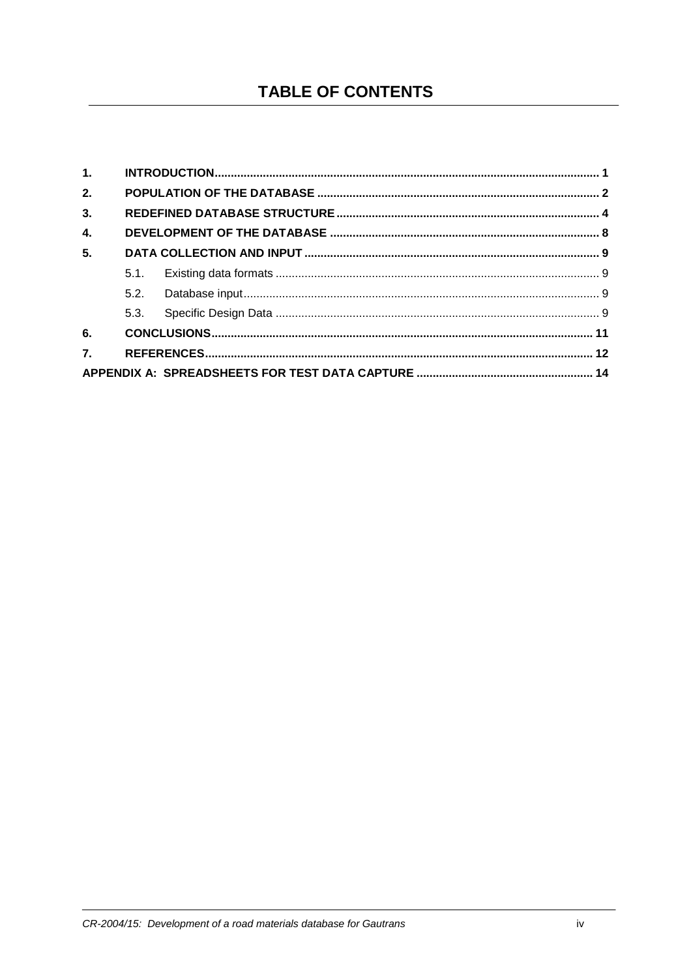# **TABLE OF CONTENTS**

| 1. |      |  |  |
|----|------|--|--|
| 2. |      |  |  |
| 3. |      |  |  |
| 4. |      |  |  |
| 5. |      |  |  |
|    | 5.1  |  |  |
|    | 5.2. |  |  |
|    | 5.3. |  |  |
| 6. |      |  |  |
| 7. |      |  |  |
|    |      |  |  |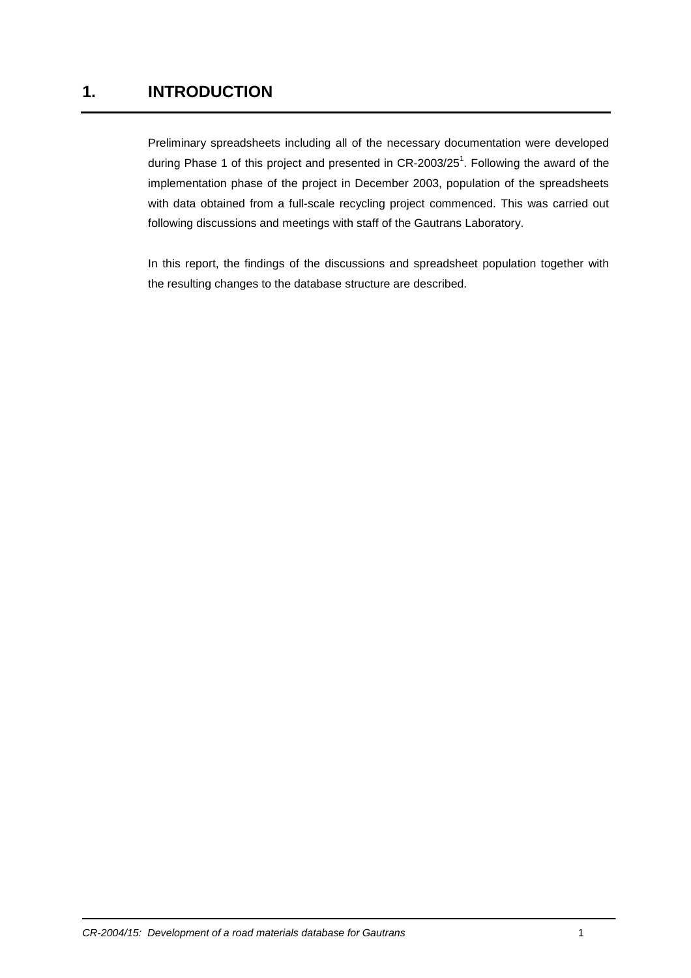## **1. INTRODUCTION**

Preliminary spreadsheets including all of the necessary documentation were developed during Phase 1 of this project and presented in CR-2003/25<sup>1</sup>. Following the award of the implementation phase of the project in December 2003, population of the spreadsheets with data obtained from a full-scale recycling project commenced. This was carried out following discussions and meetings with staff of the Gautrans Laboratory.

In this report, the findings of the discussions and spreadsheet population together with the resulting changes to the database structure are described.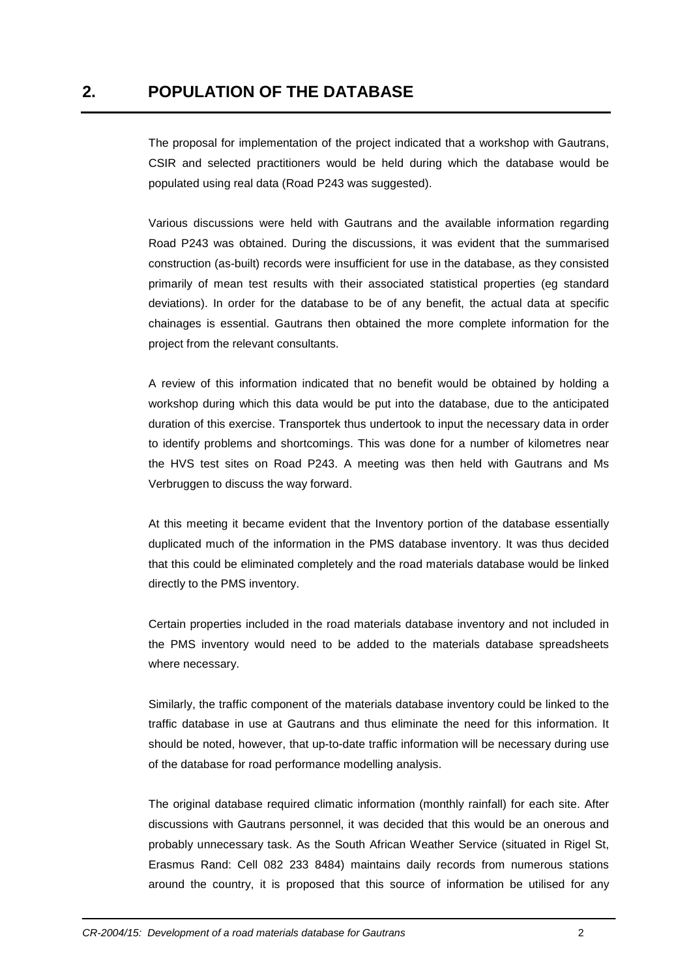The proposal for implementation of the project indicated that a workshop with Gautrans, CSIR and selected practitioners would be held during which the database would be populated using real data (Road P243 was suggested).

Various discussions were held with Gautrans and the available information regarding Road P243 was obtained. During the discussions, it was evident that the summarised construction (as-built) records were insufficient for use in the database, as they consisted primarily of mean test results with their associated statistical properties (eg standard deviations). In order for the database to be of any benefit, the actual data at specific chainages is essential. Gautrans then obtained the more complete information for the project from the relevant consultants.

A review of this information indicated that no benefit would be obtained by holding a workshop during which this data would be put into the database, due to the anticipated duration of this exercise. Transportek thus undertook to input the necessary data in order to identify problems and shortcomings. This was done for a number of kilometres near the HVS test sites on Road P243. A meeting was then held with Gautrans and Ms Verbruggen to discuss the way forward.

At this meeting it became evident that the Inventory portion of the database essentially duplicated much of the information in the PMS database inventory. It was thus decided that this could be eliminated completely and the road materials database would be linked directly to the PMS inventory.

Certain properties included in the road materials database inventory and not included in the PMS inventory would need to be added to the materials database spreadsheets where necessary.

Similarly, the traffic component of the materials database inventory could be linked to the traffic database in use at Gautrans and thus eliminate the need for this information. It should be noted, however, that up-to-date traffic information will be necessary during use of the database for road performance modelling analysis.

The original database required climatic information (monthly rainfall) for each site. After discussions with Gautrans personnel, it was decided that this would be an onerous and probably unnecessary task. As the South African Weather Service (situated in Rigel St, Erasmus Rand: Cell 082 233 8484) maintains daily records from numerous stations around the country, it is proposed that this source of information be utilised for any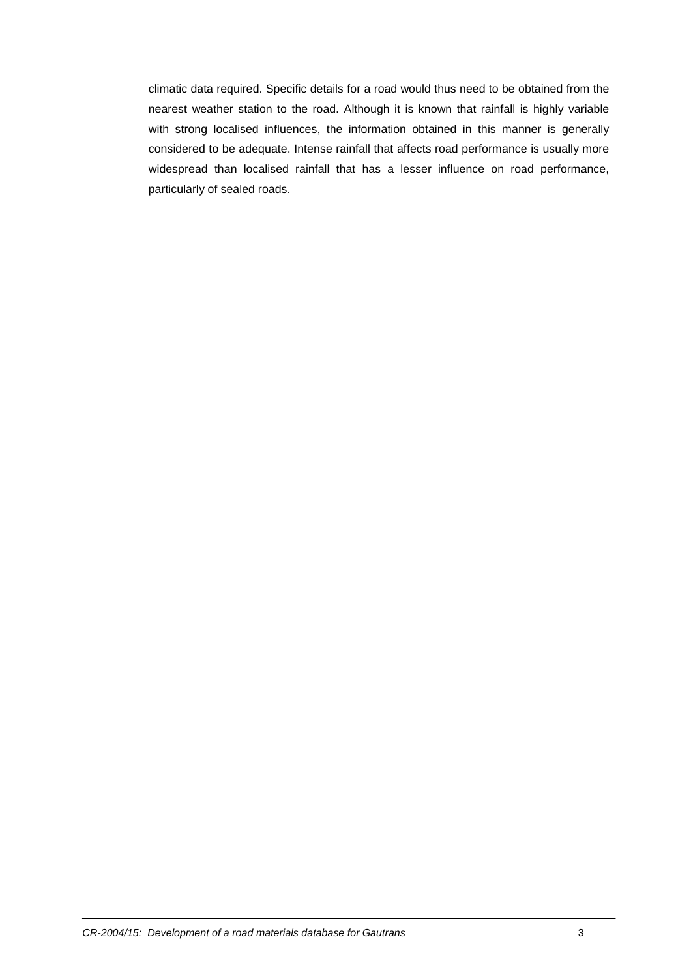climatic data required. Specific details for a road would thus need to be obtained from the nearest weather station to the road. Although it is known that rainfall is highly variable with strong localised influences, the information obtained in this manner is generally considered to be adequate. Intense rainfall that affects road performance is usually more widespread than localised rainfall that has a lesser influence on road performance, particularly of sealed roads.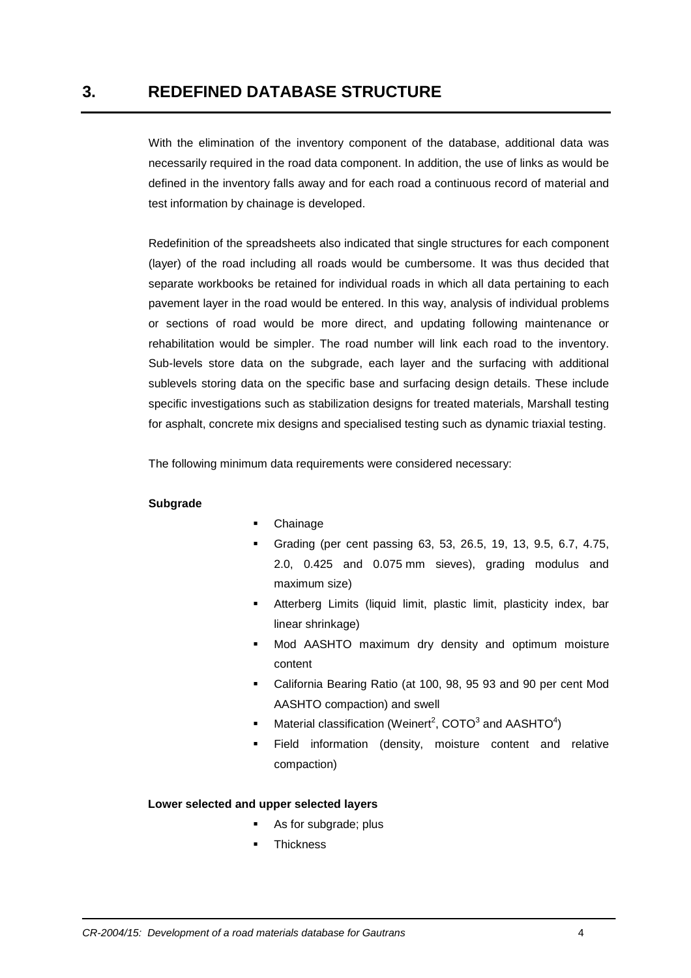With the elimination of the inventory component of the database, additional data was necessarily required in the road data component. In addition, the use of links as would be defined in the inventory falls away and for each road a continuous record of material and test information by chainage is developed.

Redefinition of the spreadsheets also indicated that single structures for each component (layer) of the road including all roads would be cumbersome. It was thus decided that separate workbooks be retained for individual roads in which all data pertaining to each pavement layer in the road would be entered. In this way, analysis of individual problems or sections of road would be more direct, and updating following maintenance or rehabilitation would be simpler. The road number will link each road to the inventory. Sub-levels store data on the subgrade, each layer and the surfacing with additional sublevels storing data on the specific base and surfacing design details. These include specific investigations such as stabilization designs for treated materials, Marshall testing for asphalt, concrete mix designs and specialised testing such as dynamic triaxial testing.

The following minimum data requirements were considered necessary:

#### **Subgrade**

- Chainage
- Grading (per cent passing 63, 53, 26.5, 19, 13, 9.5, 6.7, 4.75, 2.0, 0.425 and 0.075 mm sieves), grading modulus and maximum size)
- Atterberg Limits (liquid limit, plastic limit, plasticity index, bar linear shrinkage)
- Mod AASHTO maximum dry density and optimum moisture content
- California Bearing Ratio (at 100, 98, 95 93 and 90 per cent Mod AASHTO compaction) and swell
- Material classification (Weinert<sup>2</sup>, COTO<sup>3</sup> and AASHTO<sup>4</sup>)
- Field information (density, moisture content and relative compaction)

#### **Lower selected and upper selected layers**

- As for subgrade: plus
- **Thickness**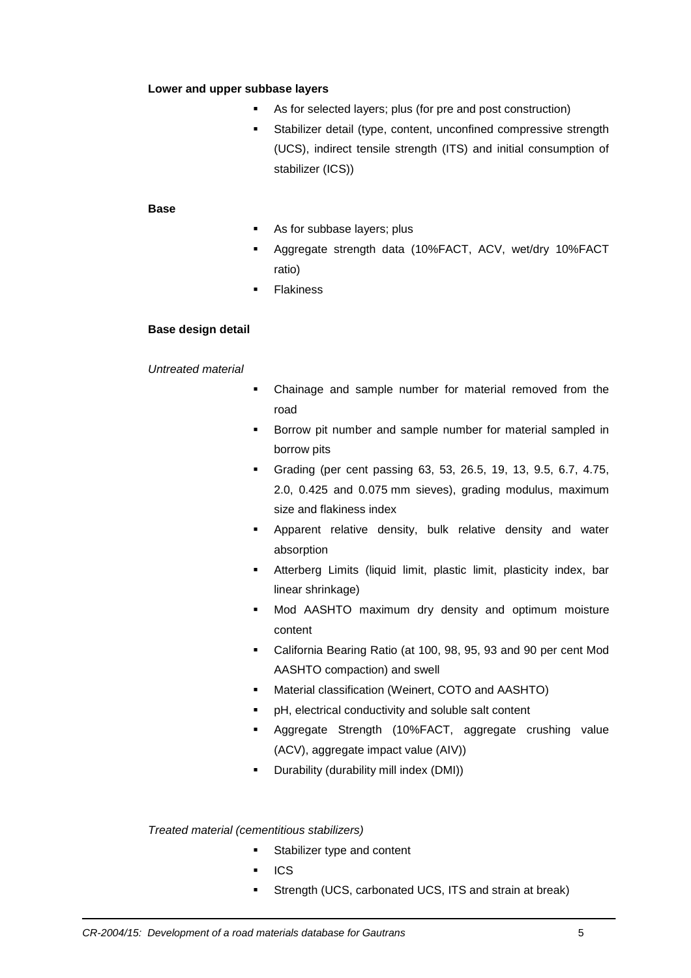#### **Lower and upper subbase layers**

- As for selected layers; plus (for pre and post construction)
- **Stabilizer detail (type, content, unconfined compressive strength** (UCS), indirect tensile strength (ITS) and initial consumption of stabilizer (ICS))

#### **Base**

- As for subbase layers; plus
- Aggregate strength data (10%FACT, ACV, wet/dry 10%FACT ratio)
- **Flakiness**

#### **Base design detail**

#### Untreated material

- Chainage and sample number for material removed from the road
- Borrow pit number and sample number for material sampled in borrow pits
- Grading (per cent passing 63, 53, 26.5, 19, 13, 9.5, 6.7, 4.75, 2.0, 0.425 and 0.075 mm sieves), grading modulus, maximum size and flakiness index
- Apparent relative density, bulk relative density and water absorption
- Atterberg Limits (liquid limit, plastic limit, plasticity index, bar linear shrinkage)
- Mod AASHTO maximum dry density and optimum moisture content
- California Bearing Ratio (at 100, 98, 95, 93 and 90 per cent Mod AASHTO compaction) and swell
- Material classification (Weinert, COTO and AASHTO)
- pH, electrical conductivity and soluble salt content
- Aggregate Strength (10%FACT, aggregate crushing value (ACV), aggregate impact value (AIV))
- **Durability (durability mill index (DMI))**

#### Treated material (cementitious stabilizers)

- **Stabilizer type and content**
- $ICS$
- Strength (UCS, carbonated UCS, ITS and strain at break)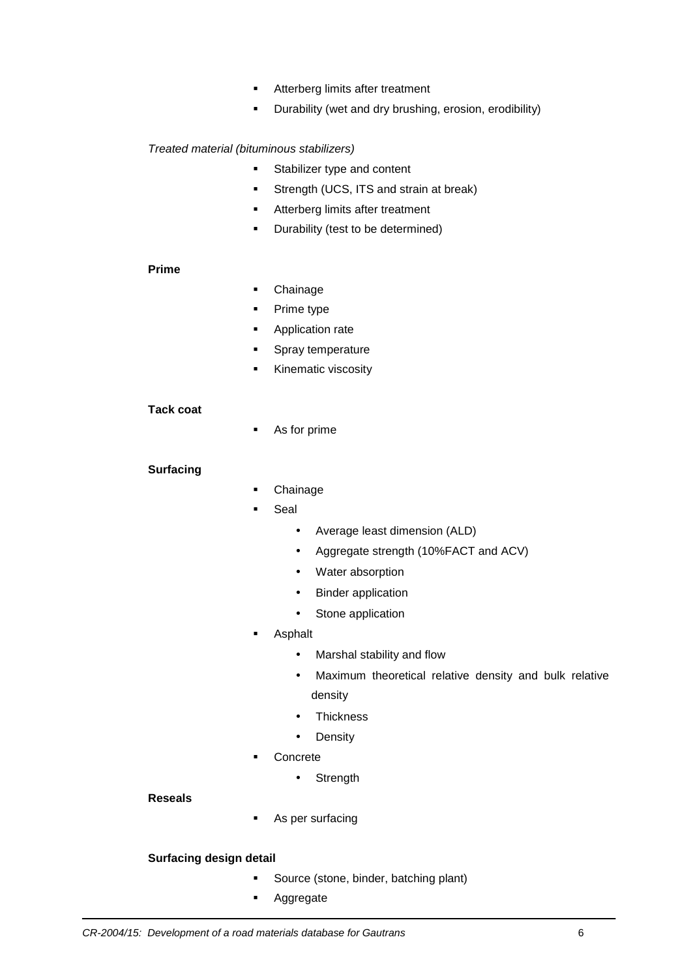- **Atterberg limits after treatment**
- **•** Durability (wet and dry brushing, erosion, erodibility)

#### Treated material (bituminous stabilizers)

- **Stabilizer type and content**
- **Strength (UCS, ITS and strain at break)**
- **Atterberg limits after treatment**
- **•** Durability (test to be determined)

#### **Prime**

- Chainage
- Prime type
- **Application rate**
- **Spray temperature**
- **Kinematic viscosity**

#### **Tack coat**

As for prime

#### **Surfacing**

- Chainage
- Seal
	- Average least dimension (ALD)
	- Aggregate strength (10%FACT and ACV)
	- Water absorption
	- Binder application
	- Stone application
- Asphalt
	- Marshal stability and flow
	- Maximum theoretical relative density and bulk relative density
	- Thickness
	- Density
- **Concrete** 
	- Strength

#### **Reseals**

**As per surfacing** 

#### **Surfacing design detail**

- Source (stone, binder, batching plant)
- **Aggregate**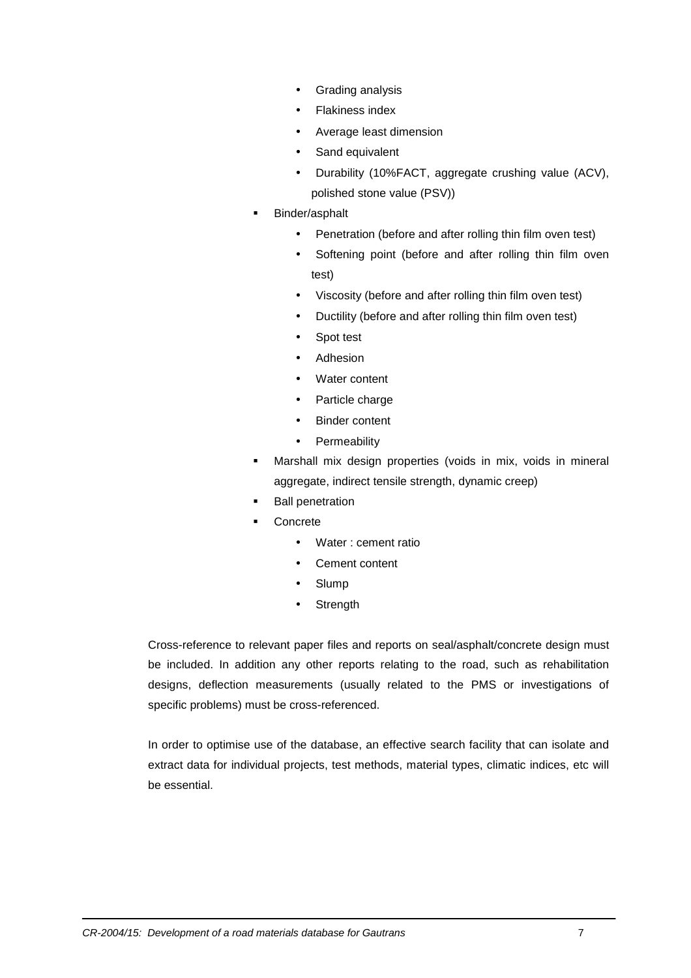- Grading analysis
- Flakiness index
- Average least dimension
- Sand equivalent
- Durability (10%FACT, aggregate crushing value (ACV), polished stone value (PSV))
- Binder/asphalt
	- Penetration (before and after rolling thin film oven test)
	- Softening point (before and after rolling thin film oven test)
	- Viscosity (before and after rolling thin film oven test)
	- Ductility (before and after rolling thin film oven test)
	- Spot test
	- **Adhesion**
	- Water content
	- Particle charge
	- **Binder content**
	- Permeability
- Marshall mix design properties (voids in mix, voids in mineral aggregate, indirect tensile strength, dynamic creep)
- **Ball penetration**
- Concrete
	- Water : cement ratio
	- Cement content
	- **Slump**
	- **Strength**

Cross-reference to relevant paper files and reports on seal/asphalt/concrete design must be included. In addition any other reports relating to the road, such as rehabilitation designs, deflection measurements (usually related to the PMS or investigations of specific problems) must be cross-referenced.

In order to optimise use of the database, an effective search facility that can isolate and extract data for individual projects, test methods, material types, climatic indices, etc will be essential.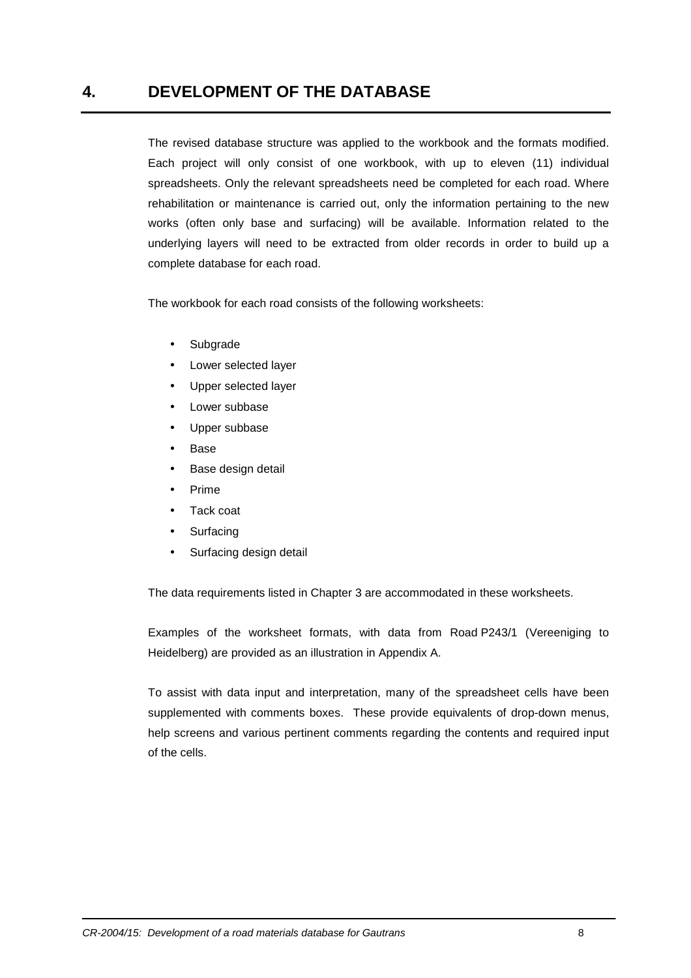## **4. DEVELOPMENT OF THE DATABASE**

The revised database structure was applied to the workbook and the formats modified. Each project will only consist of one workbook, with up to eleven (11) individual spreadsheets. Only the relevant spreadsheets need be completed for each road. Where rehabilitation or maintenance is carried out, only the information pertaining to the new works (often only base and surfacing) will be available. Information related to the underlying layers will need to be extracted from older records in order to build up a complete database for each road.

The workbook for each road consists of the following worksheets:

- **Subgrade**
- Lower selected layer
- Upper selected layer
- Lower subbase
- Upper subbase
- Base
- Base design detail
- Prime
- Tack coat
- **Surfacing**
- Surfacing design detail

The data requirements listed in Chapter 3 are accommodated in these worksheets.

Examples of the worksheet formats, with data from Road P243/1 (Vereeniging to Heidelberg) are provided as an illustration in Appendix A.

To assist with data input and interpretation, many of the spreadsheet cells have been supplemented with comments boxes. These provide equivalents of drop-down menus, help screens and various pertinent comments regarding the contents and required input of the cells.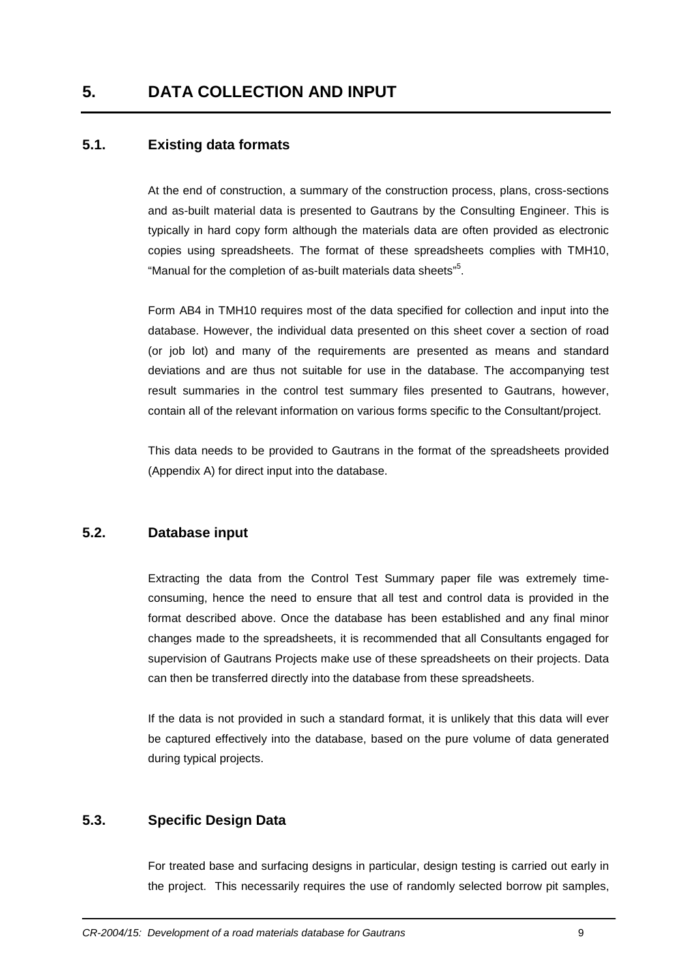#### **5.1. Existing data formats**

At the end of construction, a summary of the construction process, plans, cross-sections and as-built material data is presented to Gautrans by the Consulting Engineer. This is typically in hard copy form although the materials data are often provided as electronic copies using spreadsheets. The format of these spreadsheets complies with TMH10, "Manual for the completion of as-built materials data sheets"<sup>5</sup>.

Form AB4 in TMH10 requires most of the data specified for collection and input into the database. However, the individual data presented on this sheet cover a section of road (or job lot) and many of the requirements are presented as means and standard deviations and are thus not suitable for use in the database. The accompanying test result summaries in the control test summary files presented to Gautrans, however, contain all of the relevant information on various forms specific to the Consultant/project.

This data needs to be provided to Gautrans in the format of the spreadsheets provided (Appendix A) for direct input into the database.

#### **5.2. Database input**

Extracting the data from the Control Test Summary paper file was extremely timeconsuming, hence the need to ensure that all test and control data is provided in the format described above. Once the database has been established and any final minor changes made to the spreadsheets, it is recommended that all Consultants engaged for supervision of Gautrans Projects make use of these spreadsheets on their projects. Data can then be transferred directly into the database from these spreadsheets.

If the data is not provided in such a standard format, it is unlikely that this data will ever be captured effectively into the database, based on the pure volume of data generated during typical projects.

#### **5.3. Specific Design Data**

For treated base and surfacing designs in particular, design testing is carried out early in the project. This necessarily requires the use of randomly selected borrow pit samples,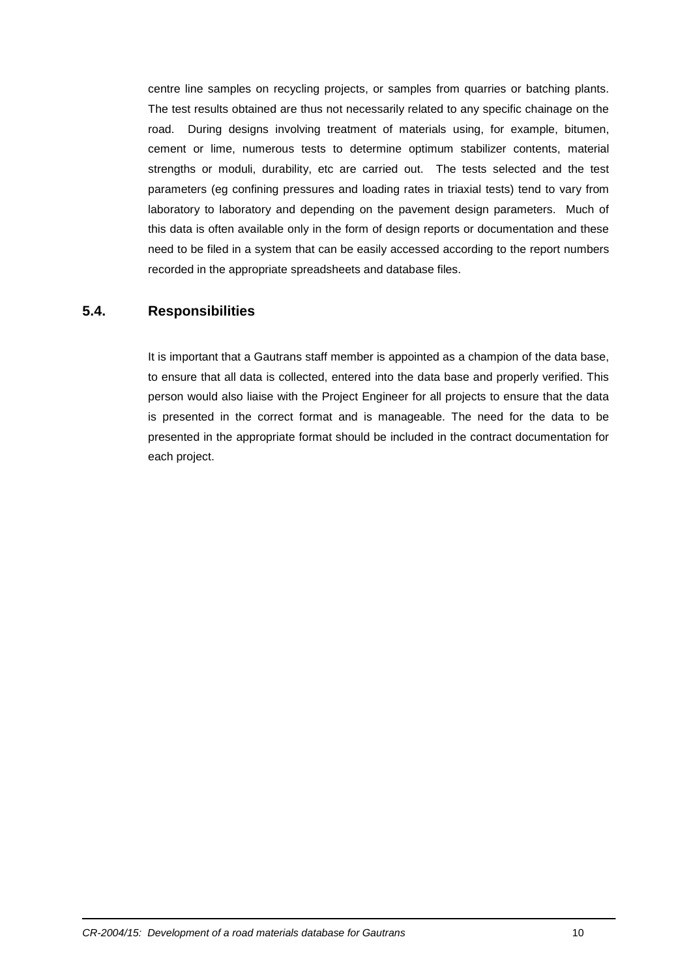centre line samples on recycling projects, or samples from quarries or batching plants. The test results obtained are thus not necessarily related to any specific chainage on the road. During designs involving treatment of materials using, for example, bitumen, cement or lime, numerous tests to determine optimum stabilizer contents, material strengths or moduli, durability, etc are carried out. The tests selected and the test parameters (eg confining pressures and loading rates in triaxial tests) tend to vary from laboratory to laboratory and depending on the pavement design parameters. Much of this data is often available only in the form of design reports or documentation and these need to be filed in a system that can be easily accessed according to the report numbers recorded in the appropriate spreadsheets and database files.

#### **5.4. Responsibilities**

It is important that a Gautrans staff member is appointed as a champion of the data base, to ensure that all data is collected, entered into the data base and properly verified. This person would also liaise with the Project Engineer for all projects to ensure that the data is presented in the correct format and is manageable. The need for the data to be presented in the appropriate format should be included in the contract documentation for each project.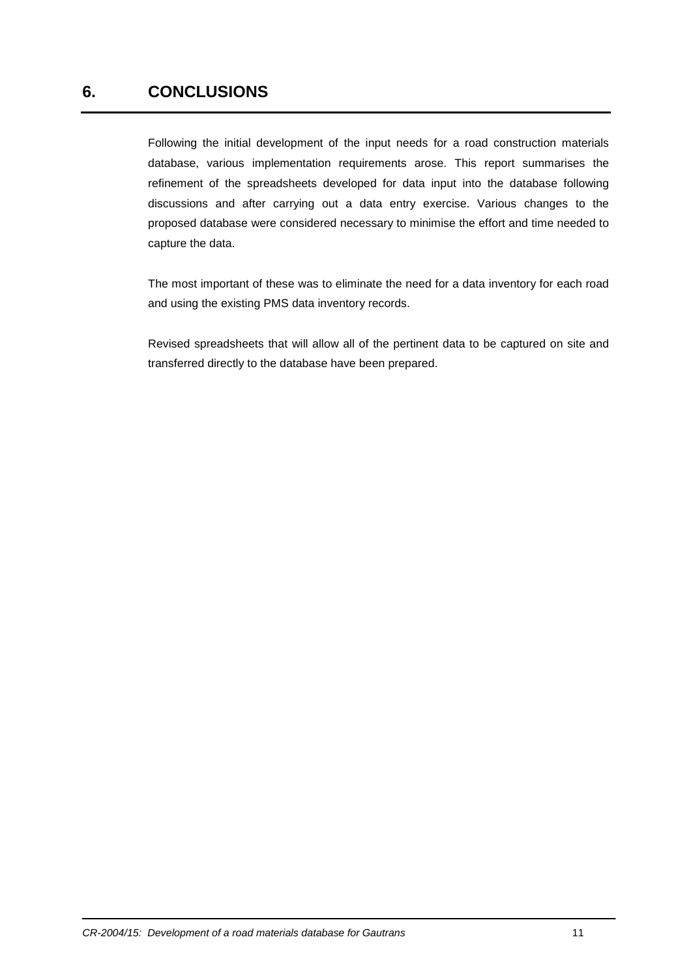## **6. CONCLUSIONS**

Following the initial development of the input needs for a road construction materials database, various implementation requirements arose. This report summarises the refinement of the spreadsheets developed for data input into the database following discussions and after carrying out a data entry exercise. Various changes to the proposed database were considered necessary to minimise the effort and time needed to capture the data.

The most important of these was to eliminate the need for a data inventory for each road and using the existing PMS data inventory records.

Revised spreadsheets that will allow all of the pertinent data to be captured on site and transferred directly to the database have been prepared.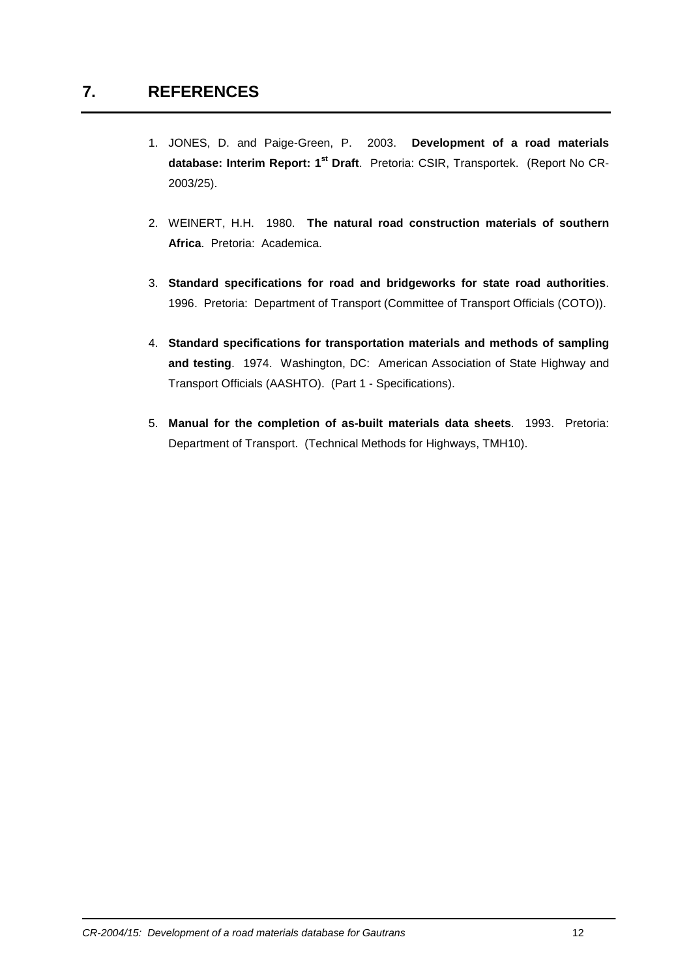- 1. JONES, D. and Paige-Green, P. 2003. **Development of a road materials database: Interim Report: 1st Draft**. Pretoria: CSIR, Transportek. (Report No CR-2003/25).
- 2. WEINERT, H.H. 1980. **The natural road construction materials of southern Africa**. Pretoria: Academica.
- 3. **Standard specifications for road and bridgeworks for state road authorities**. 1996. Pretoria: Department of Transport (Committee of Transport Officials (COTO)).
- 4. **Standard specifications for transportation materials and methods of sampling and testing**. 1974. Washington, DC: American Association of State Highway and Transport Officials (AASHTO). (Part 1 - Specifications).
- 5. **Manual for the completion of as-built materials data sheets**. 1993. Pretoria: Department of Transport. (Technical Methods for Highways, TMH10).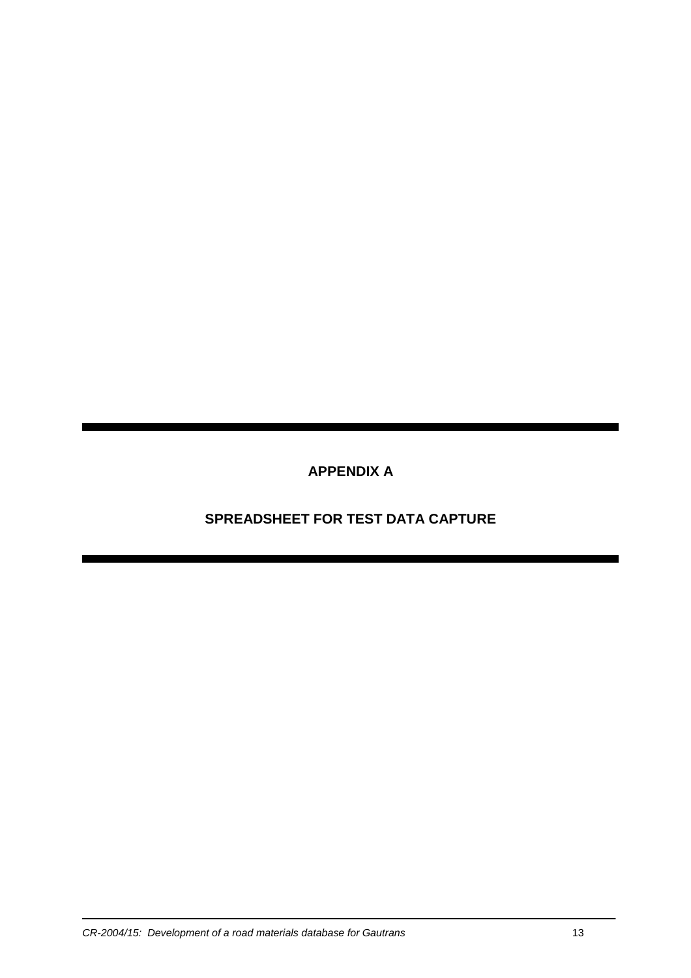**APPENDIX A** 

 **SPREADSHEET FOR TEST DATA CAPTURE**